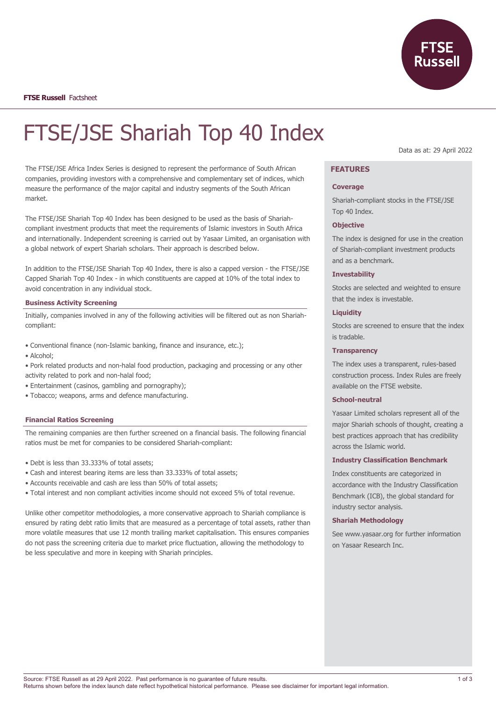

**FTSE Russell** Factsheet

# FTSE/JSE Shariah Top 40 Index

The FTSE/JSE Africa Index Series is designed to represent the performance of South African companies, providing investors with a comprehensive and complementary set of indices, which measure the performance of the major capital and industry segments of the South African market.

The FTSE/JSE Shariah Top 40 Index has been designed to be used as the basis of Shariahcompliant investment products that meet the requirements of Islamic investors in South Africa and internationally. Independent screening is carried out by Yasaar Limited, an organisation with a global network of expert Shariah scholars. Their approach is described below.

In addition to the FTSE/JSE Shariah Top 40 Index, there is also a capped version - the FTSE/JSE Capped Shariah Top 40 Index - in which constituents are capped at 10% of the total index to avoid concentration in any individual stock.

#### **Business Activity Screening**

Initially, companies involved in any of the following activities will be filtered out as non Shariahcompliant:

- Conventional finance (non-Islamic banking, finance and insurance, etc.);
- Alcohol;
- Pork related products and non-halal food production, packaging and processing or any other activity related to pork and non-halal food;
- Entertainment (casinos, gambling and pornography);
- Tobacco; weapons, arms and defence manufacturing.

#### **Financial Ratios Screening**

The remaining companies are then further screened on a financial basis. The following financial ratios must be met for companies to be considered Shariah-compliant:

- Debt is less than 33.333% of total assets;
- Cash and interest bearing items are less than 33.333% of total assets;
- Accounts receivable and cash are less than 50% of total assets;
- Total interest and non compliant activities income should not exceed 5% of total revenue.

Unlike other competitor methodologies, a more conservative approach to Shariah compliance is ensured by rating debt ratio limits that are measured as a percentage of total assets, rather than more volatile measures that use 12 month trailing market capitalisation. This ensures companies do not pass the screening criteria due to market price fluctuation, allowing the methodology to be less speculative and more in keeping with Shariah principles.

Data as at: 29 April 2022

# **FEATURES**

#### **Coverage**

Shariah-compliant stocks in the FTSE/JSE Top 40 Index.

#### **Objective**

The index is designed for use in the creation of Shariah-compliant investment products and as a benchmark.

#### **Investability**

Stocks are selected and weighted to ensure that the index is investable.

## **Liquidity**

Stocks are screened to ensure that the index is tradable.

#### **Transparency**

The index uses a transparent, rules-based construction process. Index Rules are freely available on the FTSE website.

#### **School-neutral**

Yasaar Limited scholars represent all of the major Shariah schools of thought, creating a best practices approach that has credibility across the Islamic world.

#### **Industry Classification Benchmark**

Index constituents are categorized in accordance with the Industry Classification Benchmark (ICB), the global standard for industry sector analysis.

#### **Shariah Methodology**

See www.yasaar.org for further information on Yasaar Research Inc.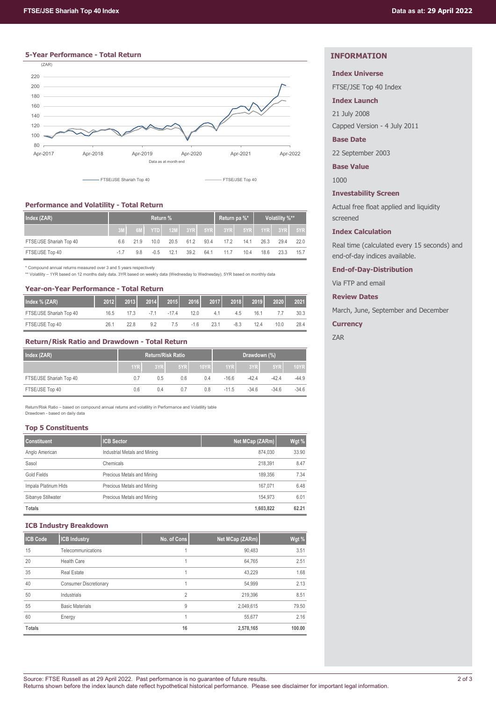# **5-Year Performance - Total Return**



# **Performance and Volatility - Total Return**

| Index (ZAR)             | <b>Return</b> % |      |        |      |      |      | Return pa %*                           |      | Volatility %** |      |      |
|-------------------------|-----------------|------|--------|------|------|------|----------------------------------------|------|----------------|------|------|
|                         |                 |      |        |      |      |      | 6M YTD 12M 3YR 5YR 3YR 5YR 5YR 1YR 3YR |      |                |      | 5YR  |
| FTSE/JSE Shariah Top 40 | 6.6             | 21.9 | 10.0   | 20.5 | 61.2 | 93.4 | 17.2                                   | 14.1 | 26.3           | 29.4 | 22.0 |
| FTSE/JSE Top 40         | $-1.7$          | 9.8  | $-0.5$ | 12.1 | 39.2 | 64.1 | 11.7                                   | 10.4 | 18.6           | 23.3 | 15.7 |

\* Compound annual returns measured over 3 and 5 years respectively

\*\* Volatility – 1YR based on 12 months daily data. 3YR based on weekly data (Wednesday to Wednesday). 5YR based on monthly data

# **Year-on-Year Performance - Total Return**

| Index % (ZAR)           | 2012 | 2013 | 2014  | 2015    | <b>2016</b> | 2017 | 2018   | 2019 | 2020 | 2021 |
|-------------------------|------|------|-------|---------|-------------|------|--------|------|------|------|
| FTSE/JSE Shariah Top 40 | 16.5 | 17.3 | $-71$ | $-17.4$ | 12 O        | 4.1  | 4.5    | 16.1 |      | 30.3 |
| FTSE/JSE Top 40         | 26.1 | 22.8 | 9.2   | 7.5     | $-1.6$      | 23.1 | $-8.3$ | 12.4 | 10.0 | 28.4 |

# **Return/Risk Ratio and Drawdown - Total Return**

| Index (ZAR)             | <b>Return/Risk Ratio</b> |     |     |      | Drawdown (%),    |         |         |             |
|-------------------------|--------------------------|-----|-----|------|------------------|---------|---------|-------------|
|                         | 1YR                      | 3YR | 5YR | 10YR | 1YR <sub>I</sub> | 3YR     | 5YR     | <b>10YR</b> |
| FTSE/JSE Shariah Top 40 | 0.7                      | 0.5 | 0.6 | 0.4  | $-16.6$          | $-42.4$ | $-42.4$ | $-44.9$     |
| FTSE/JSE Top 40         | 0.6                      | 0.4 | 0.7 | 0.8  | $-11.5$          | $-34.6$ | $-34.6$ | $-34.6$     |

Return/Risk Ratio – based on compound annual returns and volatility in Performance and Volatility table Drawdown - based on daily data

## **Top 5 Constituents**

| <b>Constituent</b>   | <b>ICB Sector</b>            | Net MCap (ZARm) | Wgt % |
|----------------------|------------------------------|-----------------|-------|
| Anglo American       | Industrial Metals and Mining | 874.030         | 33.90 |
| Sasol                | Chemicals                    | 218.391         | 8.47  |
| Gold Fields          | Precious Metals and Mining   | 189.356         | 7.34  |
| Impala Platinum Hlds | Precious Metals and Mining   | 167.071         | 6.48  |
| Sibanye Stillwater   | Precious Metals and Mining   | 154.973         | 6.01  |
| Totals               |                              | 1.603.822       | 62.21 |

## **ICB Industry Breakdown**

| <b>ICB Code</b> | <b>ICB Industry</b>           | No. of Cons | Net MCap (ZARm) | Wgt %  |
|-----------------|-------------------------------|-------------|-----------------|--------|
| 15              | Telecommunications            |             | 90,483          | 3.51   |
| 20              | <b>Health Care</b>            |             | 64,765          | 2.51   |
| 35              | <b>Real Estate</b>            |             | 43,229          | 1.68   |
| 40              | <b>Consumer Discretionary</b> |             | 54,999          | 2.13   |
| 50              | Industrials                   | 2           | 219,396         | 8.51   |
| 55              | <b>Basic Materials</b>        | 9           | 2,049,615       | 79.50  |
| 60              | Energy                        |             | 55,677          | 2.16   |
| <b>Totals</b>   |                               | 16          | 2,578,165       | 100.00 |

# **INFORMATION**

# **Index Universe**

FTSE/JSE Top 40 Index

## **Index Launch**

21 July 2008 Capped Version - 4 July 2011

## **Base Date**

22 September 2003

**Base Value**

1000

## **Investability Screen**

Actual free float applied and liquidity screened

## **Index Calculation**

Real time (calculated every 15 seconds) and end-of-day indices available.

## **End-of-Day-Distribution**

Via FTP and email

## **Review Dates**

March, June, September and December

## **Currency**

ZAR